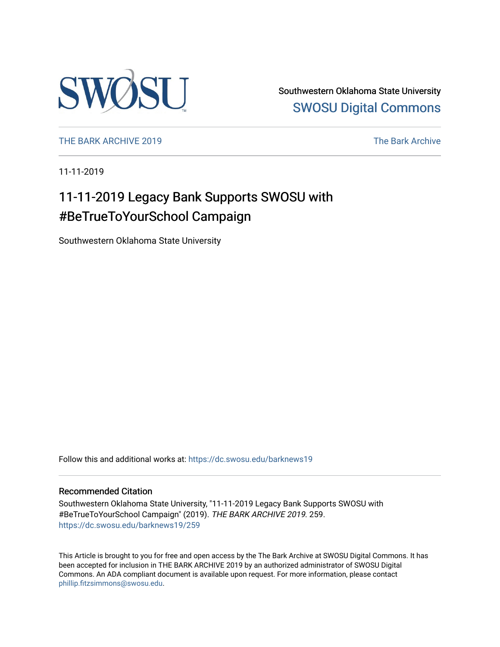

Southwestern Oklahoma State University [SWOSU Digital Commons](https://dc.swosu.edu/) 

[THE BARK ARCHIVE 2019](https://dc.swosu.edu/barknews19) The Bark Archive

11-11-2019

# 11-11-2019 Legacy Bank Supports SWOSU with #BeTrueToYourSchool Campaign

Southwestern Oklahoma State University

Follow this and additional works at: [https://dc.swosu.edu/barknews19](https://dc.swosu.edu/barknews19?utm_source=dc.swosu.edu%2Fbarknews19%2F259&utm_medium=PDF&utm_campaign=PDFCoverPages)

#### Recommended Citation

Southwestern Oklahoma State University, "11-11-2019 Legacy Bank Supports SWOSU with #BeTrueToYourSchool Campaign" (2019). THE BARK ARCHIVE 2019. 259. [https://dc.swosu.edu/barknews19/259](https://dc.swosu.edu/barknews19/259?utm_source=dc.swosu.edu%2Fbarknews19%2F259&utm_medium=PDF&utm_campaign=PDFCoverPages)

This Article is brought to you for free and open access by the The Bark Archive at SWOSU Digital Commons. It has been accepted for inclusion in THE BARK ARCHIVE 2019 by an authorized administrator of SWOSU Digital Commons. An ADA compliant document is available upon request. For more information, please contact [phillip.fitzsimmons@swosu.edu](mailto:phillip.fitzsimmons@swosu.edu).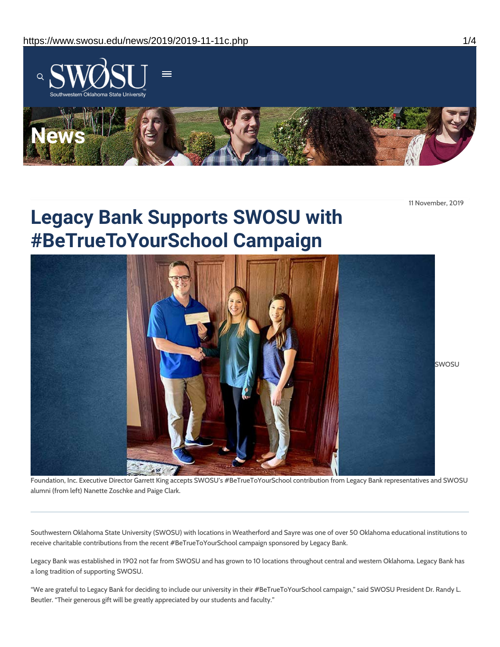

11 November, 2019

# **Legacy Bank Supports SWOSU with #BeTrueToYourSchool Campaign**



Foundation, Inc. Executive Director Garrett King accepts SWOSU's #BeTrueToYourSchool contribution from Legacy Bank representatives and SWOSU alumni (from left) Nanette Zoschke and Paige Clark.

Southwestern Oklahoma State University (SWOSU) with locations in Weatherford and Sayre was one of over 50 Oklahoma educational institutions to receive charitable contributions from the recent #BeTrueToYourSchool campaign sponsored by Legacy Bank.

Legacy Bank was established in 1902 not far from SWOSU and has grown to 10 locations throughout central and western Oklahoma. Legacy Bank has a long tradition of supporting SWOSU.

"We are grateful to Legacy Bank for deciding to include our university in their #BeTrueToYourSchool campaign," said SWOSU President Dr. Randy L. Beutler. "Their generous gift will be greatly appreciated by our students and faculty."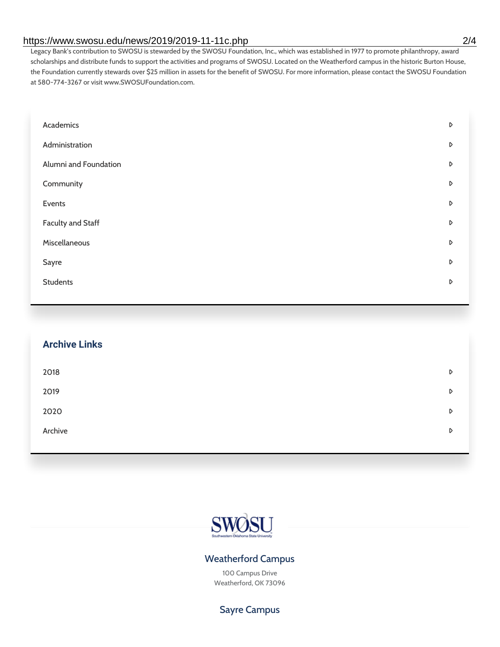#### https://www.swosu.edu/news/2019/2019-11-11c.php 2/4

Legacy Bank's contribution to SWOSU is stewarded by the SWOSU Foundation, Inc., which was established in 1977 to promote philanthropy, award scholarships and distribute funds to support the activities and programs of SWOSU. Located on the Weatherford campus in the historic Burton House, the Foundation currently stewards over \$25 million in assets for the benefit of SWOSU. For more information, please contact the SWOSU Foundation at 580-774-3267 or visit www.SWOSUFoundation.com.

| Academics                | D |
|--------------------------|---|
| Administration           | D |
| Alumni and Foundation    | D |
| Community                | D |
| Events                   | D |
| <b>Faculty and Staff</b> | D |
| Miscellaneous            | D |
| Sayre                    | D |
| <b>Students</b>          | D |
|                          |   |

| <b>Archive Links</b> |   |
|----------------------|---|
| 2018                 | D |
| 2019                 | D |
| 2020                 | D |
| Archive              | D |
|                      |   |



### Weatherford Campus

100 Campus Drive Weatherford, OK 73096

# Sayre Campus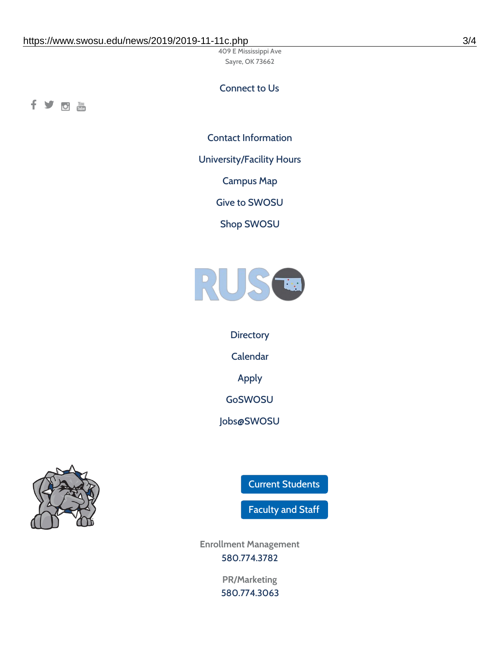409 E Mississippi Ave Sayre, OK 73662

# Connect to Us

fyom

Contact [Information](https://www.swosu.edu/about/contact.php)

[University/Facility](https://www.swosu.edu/about/operating-hours.php) Hours

[Campus](https://map.concept3d.com/?id=768#!ct/10964,10214,10213,10212,10205,10204,10203,10202,10136,10129,10128,0,31226,10130,10201,10641,0) Map

Give to [SWOSU](https://standingfirmly.com/donate)

Shop [SWOSU](https://shopswosu.merchorders.com/)



**[Directory](https://www.swosu.edu/directory/index.php)** [Calendar](https://eventpublisher.dudesolutions.com/swosu/) [Apply](https://www.swosu.edu/admissions/apply-to-swosu.php) [GoSWOSU](https://qlsso.quicklaunchsso.com/home/1267) [Jobs@SWOSU](https://swosu.csod.com/ux/ats/careersite/1/home?c=swosu)



Current [Students](https://bulldog.swosu.edu/index.php)

[Faculty](https://bulldog.swosu.edu/faculty-staff/index.php) and Staff

**Enrollment Management** [580.774.3782](tel:5807743782)

> **PR/Marketing** [580.774.3063](tel:5807743063)